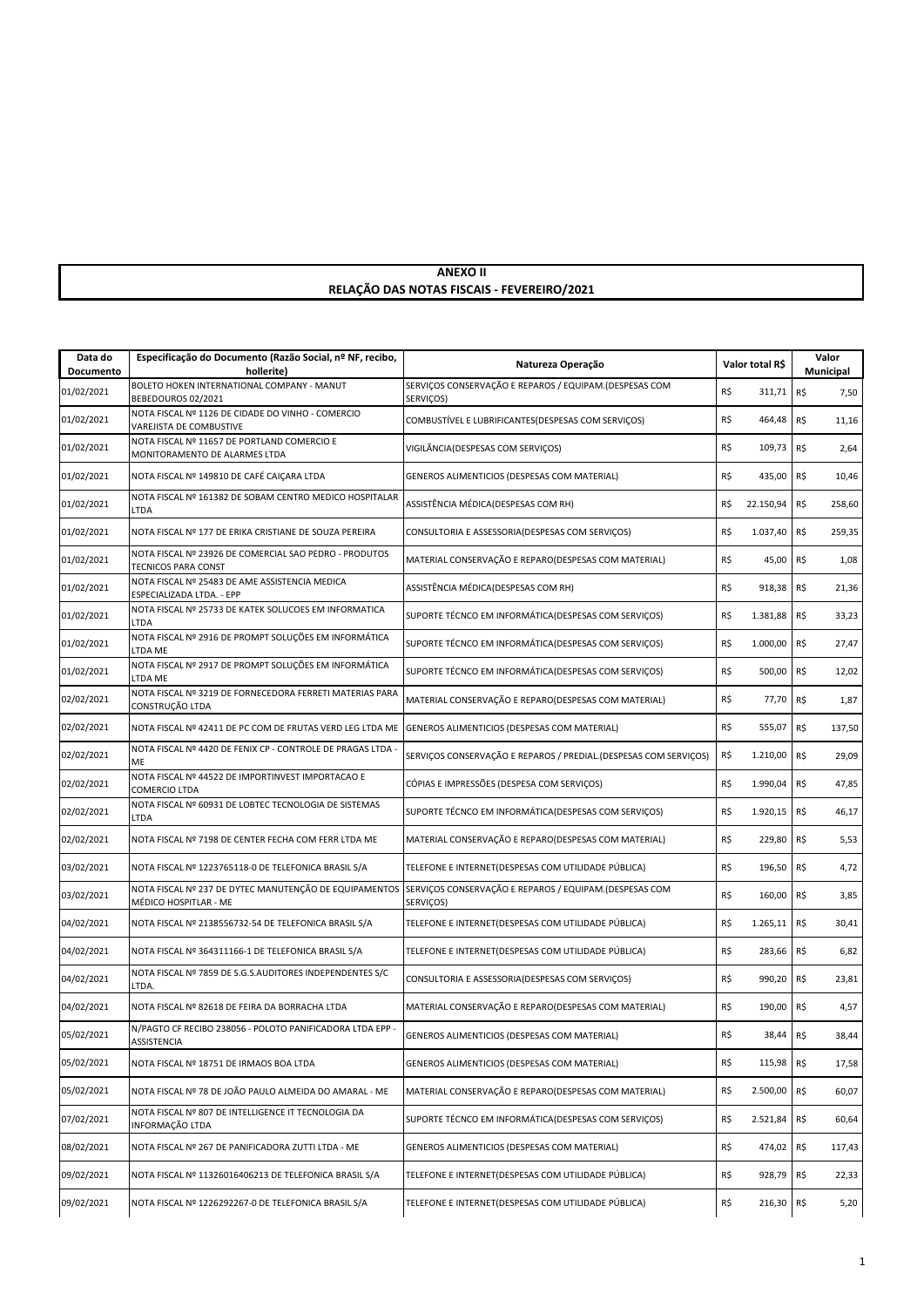## **ANEXO II RELAÇÃO DAS NOTAS FISCAIS - FEVEREIRO/2021**

| Data do<br>Documento | Especificação do Documento (Razão Social, nº NF, recibo,<br>hollerite)               | Natureza Operação                                                   | Valor total R\$ |            | Valor<br>Municipal |        |
|----------------------|--------------------------------------------------------------------------------------|---------------------------------------------------------------------|-----------------|------------|--------------------|--------|
| 01/02/2021           | BOLETO HOKEN INTERNATIONAL COMPANY - MANUT<br>BEBEDOUROS 02/2021                     | SERVIÇOS CONSERVAÇÃO E REPAROS / EQUIPAM.(DESPESAS COM<br>SERVIÇOS) | R\$             | 311,71     | R\$                | 7,50   |
| 01/02/2021           | NOTA FISCAL Nº 1126 DE CIDADE DO VINHO - COMERCIO<br>VAREJISTA DE COMBUSTIVE         | COMBUSTÍVEL E LUBRIFICANTES(DESPESAS COM SERVIÇOS)                  | R\$             | 464,48     | R\$                | 11,16  |
| 01/02/2021           | NOTA FISCAL Nº 11657 DE PORTLAND COMERCIO E<br>MONITORAMENTO DE ALARMES LTDA         | VIGILÃNCIA(DESPESAS COM SERVIÇOS)                                   | R\$             | 109,73     | R\$                | 2,64   |
| 01/02/2021           | NOTA FISCAL Nº 149810 DE CAFÉ CAIÇARA LTDA                                           | GENEROS ALIMENTICIOS (DESPESAS COM MATERIAL)                        | R\$             | 435,00     | R\$                | 10,46  |
| 01/02/2021           | NOTA FISCAL Nº 161382 DE SOBAM CENTRO MEDICO HOSPITALAR<br><b>LTDA</b>               | ASSISTÊNCIA MÉDICA(DESPESAS COM RH)                                 | R\$             | 22.150,94  | R\$                | 258,60 |
| 01/02/2021           | NOTA FISCAL Nº 177 DE ERIKA CRISTIANE DE SOUZA PEREIRA                               | CONSULTORIA E ASSESSORIA(DESPESAS COM SERVIÇOS)                     | R\$             | 1.037,40   | R\$                | 259,35 |
| 01/02/2021           | NOTA FISCAL Nº 23926 DE COMERCIAL SAO PEDRO - PRODUTOS<br><b>TECNICOS PARA CONST</b> | MATERIAL CONSERVAÇÃO E REPARO(DESPESAS COM MATERIAL)                | R\$             | 45,00      | R\$                | 1,08   |
| 01/02/2021           | NOTA FISCAL Nº 25483 DE AME ASSISTENCIA MEDICA<br>ESPECIALIZADA LTDA. - EPP          | ASSISTÊNCIA MÉDICA(DESPESAS COM RH)                                 | R\$             | 918,38     | R\$                | 21,36  |
| 01/02/2021           | NOTA FISCAL Nº 25733 DE KATEK SOLUCOES EM INFORMATICA<br><b>LTDA</b>                 | SUPORTE TÉCNCO EM INFORMÁTICA (DESPESAS COM SERVIÇOS)               | R\$             | 1.381,88   | R\$                | 33,23  |
| 01/02/2021           | NOTA FISCAL Nº 2916 DE PROMPT SOLUÇÕES EM INFORMÁTICA<br>LTDA ME                     | SUPORTE TÉCNCO EM INFORMÁTICA(DESPESAS COM SERVIÇOS)                | R\$             | 1.000,00   | R\$                | 27,47  |
| 01/02/2021           | NOTA FISCAL Nº 2917 DE PROMPT SOLUÇÕES EM INFORMÁTICA<br>LTDA ME                     | SUPORTE TÉCNCO EM INFORMÁTICA (DESPESAS COM SERVIÇOS)               | R\$             | 500,00     | R\$                | 12,02  |
| 02/02/2021           | NOTA FISCAL Nº 3219 DE FORNECEDORA FERRETI MATERIAS PARA<br>CONSTRUCÃO LTDA          | MATERIAL CONSERVAÇÃO E REPARO(DESPESAS COM MATERIAL)                | R\$             | 77,70      | R\$                | 1,87   |
| 02/02/2021           | NOTA FISCAL Nº 42411 DE PC COM DE FRUTAS VERD LEG LTDA ME                            | GENEROS ALIMENTICIOS (DESPESAS COM MATERIAL)                        | R\$             | 555,07     | R\$                | 137,50 |
| 02/02/2021           | NOTA FISCAL Nº 4420 DE FENIX CP - CONTROLE DE PRAGAS LTDA -<br><b>ME</b>             | SERVIÇOS CONSERVAÇÃO E REPAROS / PREDIAL.(DESPESAS COM SERVIÇOS)    | R\$             | 1.210,00   | R\$                | 29,09  |
| 02/02/2021           | NOTA FISCAL Nº 44522 DE IMPORTINVEST IMPORTACAO E<br>COMERCIO LTDA                   | CÓPIAS E IMPRESSÕES (DESPESA COM SERVIÇOS)                          | R\$             | 1.990,04   | R\$                | 47,85  |
| 02/02/2021           | NOTA FISCAL Nº 60931 DE LOBTEC TECNOLOGIA DE SISTEMAS<br>LTDA                        | SUPORTE TÉCNCO EM INFORMÁTICA(DESPESAS COM SERVIÇOS)                | R\$             | 1.920,15   | R\$                | 46,17  |
| 02/02/2021           | NOTA FISCAL Nº 7198 DE CENTER FECHA COM FERR LTDA ME                                 | MATERIAL CONSERVAÇÃO E REPARO(DESPESAS COM MATERIAL)                | R\$             | 229,80     | R\$                | 5,53   |
| 03/02/2021           | NOTA FISCAL Nº 1223765118-0 DE TELEFONICA BRASIL S/A                                 | TELEFONE E INTERNET(DESPESAS COM UTILIDADE PÚBLICA)                 | R\$             | 196,50     | R\$                | 4,72   |
| 03/02/2021           | NOTA FISCAL Nº 237 DE DYTEC MANUTENÇÃO DE EQUIPAMENTOS<br>MÉDICO HOSPITLAR - ME      | SERVIÇOS CONSERVAÇÃO E REPAROS / EQUIPAM.(DESPESAS COM<br>SERVIÇOS) | R\$             | 160,00     | R\$                | 3,85   |
| 04/02/2021           | NOTA FISCAL Nº 2138556732-54 DE TELEFONICA BRASIL S/A                                | TELEFONE E INTERNET(DESPESAS COM UTILIDADE PÚBLICA)                 | R\$             | 1.265,11   | R\$                | 30,41  |
| 04/02/2021           | NOTA FISCAL Nº 364311166-1 DE TELEFONICA BRASIL S/A                                  | TELEFONE E INTERNET(DESPESAS COM UTILIDADE PÚBLICA)                 | R\$             | 283,66     | R\$                | 6,82   |
| 04/02/2021           | NOTA FISCAL Nº 7859 DE S.G.S.AUDITORES INDEPENDENTES S/C<br>LTDA.                    | CONSULTORIA E ASSESSORIA(DESPESAS COM SERVIÇOS)                     | R\$             | 990,20     | R\$                | 23,81  |
| 04/02/2021           | NOTA FISCAL Nº 82618 DE FEIRA DA BORRACHA LTDA                                       | MATERIAL CONSERVAÇÃO E REPARO(DESPESAS COM MATERIAL)                | R\$             | 190,00     | R\$                | 4,57   |
| 05/02/2021           | N/PAGTO CF RECIBO 238056 - POLOTO PANIFICADORA LTDA EPP -<br><b>ASSISTENCIA</b>      | GENEROS ALIMENTICIOS (DESPESAS COM MATERIAL)                        | R\$             | 38,44 R\$  |                    | 38,44  |
| 05/02/2021           | NOTA FISCAL Nº 18751 DE IRMAOS BOA LTDA                                              | GENEROS ALIMENTICIOS (DESPESAS COM MATERIAL)                        | R\$             | 115,98 R\$ |                    | 17,58  |
| 05/02/2021           | NOTA FISCAL Nº 78 DE JOÃO PAULO ALMEIDA DO AMARAL - ME                               | MATERIAL CONSERVAÇÃO E REPARO(DESPESAS COM MATERIAL)                | R\$             | 2.500,00   | R\$                | 60,07  |
| 07/02/2021           | NOTA FISCAL Nº 807 DE INTELLIGENCE IT TECNOLOGIA DA<br>INFORMAÇÃO LTDA               | SUPORTE TÉCNCO EM INFORMÁTICA (DESPESAS COM SERVIÇOS)               | R\$             | 2.521,84   | R\$                | 60,64  |
| 08/02/2021           | NOTA FISCAL Nº 267 DE PANIFICADORA ZUTTI LTDA - ME                                   | GENEROS ALIMENTICIOS (DESPESAS COM MATERIAL)                        | R\$             | 474,02     | R\$                | 117,43 |
| 09/02/2021           | NOTA FISCAL Nº 11326016406213 DE TELEFONICA BRASIL S/A                               | TELEFONE E INTERNET(DESPESAS COM UTILIDADE PÚBLICA)                 | R\$             | 928,79     | R\$                | 22,33  |
| 09/02/2021           | NOTA FISCAL Nº 1226292267-0 DE TELEFONICA BRASIL S/A                                 | TELEFONE E INTERNET(DESPESAS COM UTILIDADE PÚBLICA)                 | R\$             | 216,30     | R\$                | 5,20   |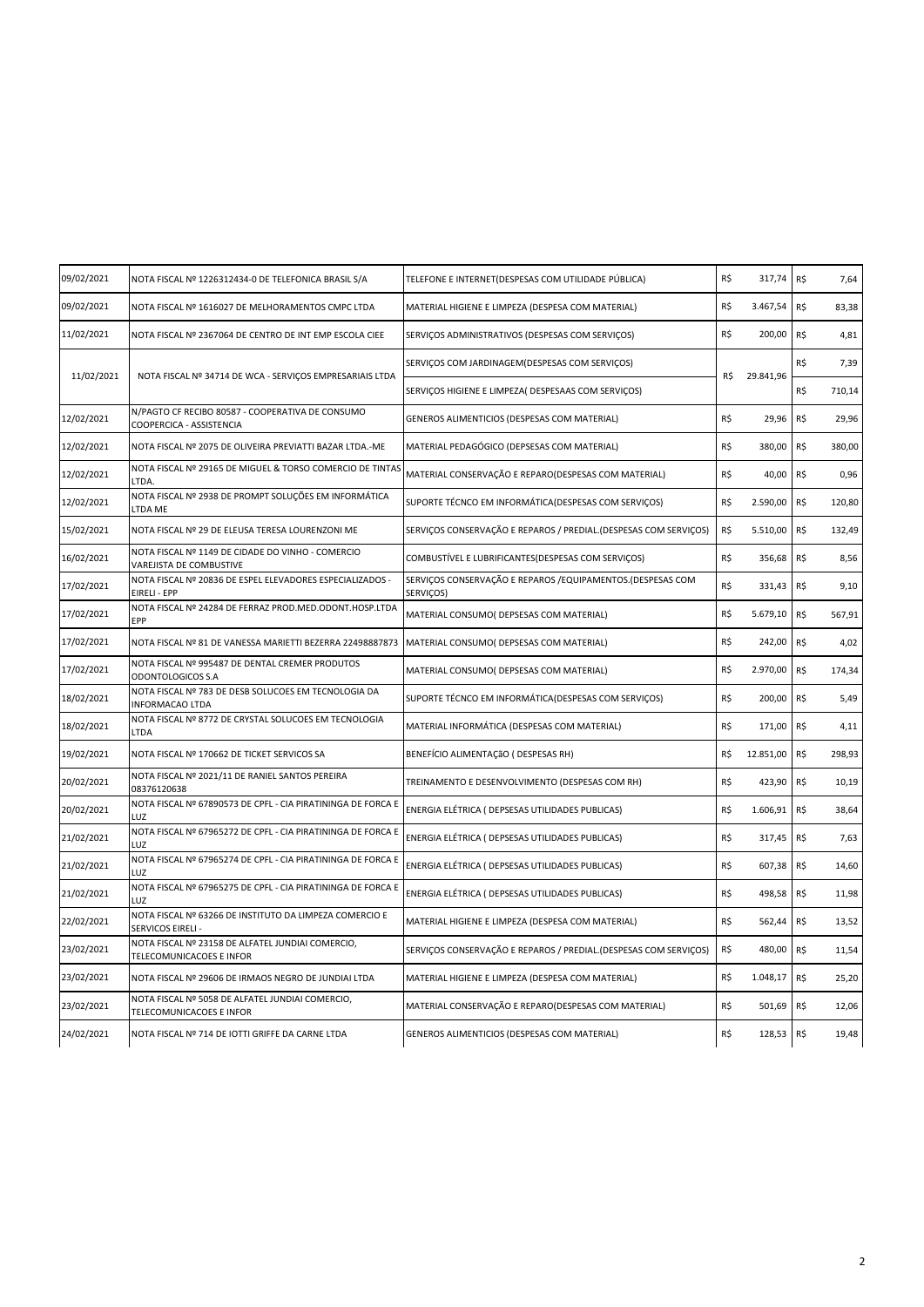| 09/02/2021 | NOTA FISCAL Nº 1226312434-0 DE TELEFONICA BRASIL S/A                           | TELEFONE E INTERNET(DESPESAS COM UTILIDADE PÚBLICA)                       | R\$ | 317,74    | R\$ | 7,64   |
|------------|--------------------------------------------------------------------------------|---------------------------------------------------------------------------|-----|-----------|-----|--------|
| 09/02/2021 | NOTA FISCAL Nº 1616027 DE MELHORAMENTOS CMPC LTDA                              | MATERIAL HIGIENE E LIMPEZA (DESPESA COM MATERIAL)                         | R\$ | 3.467,54  | R\$ | 83,38  |
| 11/02/2021 | NOTA FISCAL Nº 2367064 DE CENTRO DE INT EMP ESCOLA CIEE                        | SERVIÇOS ADMINISTRATIVOS (DESPESAS COM SERVIÇOS)                          | R\$ | 200,00    | R\$ | 4,81   |
| 11/02/2021 | NOTA FISCAL Nº 34714 DE WCA - SERVIÇOS EMPRESARIAIS LTDA                       | SERVIÇOS COM JARDINAGEM(DESPESAS COM SERVIÇOS)                            | R\$ | 29.841,96 | R\$ | 7,39   |
|            |                                                                                | SERVIÇOS HIGIENE E LIMPEZA( DESPESAAS COM SERVIÇOS)                       |     |           | R\$ | 710,14 |
| 12/02/2021 | N/PAGTO CF RECIBO 80587 - COOPERATIVA DE CONSUMO<br>COOPERCICA - ASSISTENCIA   | GENEROS ALIMENTICIOS (DESPESAS COM MATERIAL)                              | R\$ | 29,96     | R\$ | 29,96  |
| 12/02/2021 | NOTA FISCAL Nº 2075 DE OLIVEIRA PREVIATTI BAZAR LTDA.-ME                       | MATERIAL PEDAGÓGICO (DEPSESAS COM MATERIAL)                               | R\$ | 380,00    | R\$ | 380,00 |
| 12/02/2021 | NOTA FISCAL Nº 29165 DE MIGUEL & TORSO COMERCIO DE TINTAS<br>LTDA.             | MATERIAL CONSERVAÇÃO E REPARO(DESPESAS COM MATERIAL)                      | R\$ | 40,00     | R\$ | 0,96   |
| 12/02/2021 | NOTA FISCAL Nº 2938 DE PROMPT SOLUÇÕES EM INFORMÁTICA<br>LTDA ME               | SUPORTE TÉCNCO EM INFORMÁTICA(DESPESAS COM SERVIÇOS)                      | R\$ | 2.590,00  | R\$ | 120,80 |
| 15/02/2021 | NOTA FISCAL Nº 29 DE ELEUSA TERESA LOURENZONI ME                               | SERVIÇOS CONSERVAÇÃO E REPAROS / PREDIAL.(DESPESAS COM SERVIÇOS)          | R\$ | 5.510,00  | R\$ | 132,49 |
| 16/02/2021 | NOTA FISCAL Nº 1149 DE CIDADE DO VINHO - COMERCIO<br>VAREJISTA DE COMBUSTIVE   | COMBUSTÍVEL E LUBRIFICANTES(DESPESAS COM SERVIÇOS)                        | R\$ | 356,68    | R\$ | 8,56   |
| 17/02/2021 | NOTA FISCAL Nº 20836 DE ESPEL ELEVADORES ESPECIALIZADOS -<br>EIRELI - EPP      | SERVIÇOS CONSERVAÇÃO E REPAROS / EQUIPAMENTOS. (DESPESAS COM<br>SERVIÇOS) | R\$ | 331,43    | R\$ | 9,10   |
| 17/02/2021 | NOTA FISCAL Nº 24284 DE FERRAZ PROD.MED.ODONT.HOSP.LTDA<br>EPP                 | MATERIAL CONSUMO( DEPSESAS COM MATERIAL)                                  | R\$ | 5.679,10  | R\$ | 567,91 |
| 17/02/2021 | NOTA FISCAL Nº 81 DE VANESSA MARIETTI BEZERRA 22498887873                      | MATERIAL CONSUMO( DEPSESAS COM MATERIAL)                                  | R\$ | 242,00    | R\$ | 4,02   |
| 17/02/2021 | NOTA FISCAL Nº 995487 DE DENTAL CREMER PRODUTOS<br>ODONTOLOGICOS S.A           | MATERIAL CONSUMO( DEPSESAS COM MATERIAL)                                  | R\$ | 2.970,00  | R\$ | 174,34 |
| 18/02/2021 | NOTA FISCAL Nº 783 DE DESB SOLUCOES EM TECNOLOGIA DA<br><b>INFORMACAO LTDA</b> | SUPORTE TÉCNCO EM INFORMÁTICA(DESPESAS COM SERVIÇOS)                      | R\$ | 200,00    | R\$ | 5,49   |
| 18/02/2021 | NOTA FISCAL Nº 8772 DE CRYSTAL SOLUCOES EM TECNOLOGIA<br><b>LTDA</b>           | MATERIAL INFORMÁTICA (DESPESAS COM MATERIAL)                              | R\$ | 171,00    | R\$ | 4,11   |
| 19/02/2021 | NOTA FISCAL Nº 170662 DE TICKET SERVICOS SA                                    | BENEFÍCIO ALIMENTAÇãO ( DESPESAS RH)                                      | R\$ | 12.851,00 | R\$ | 298,93 |
| 20/02/2021 | NOTA FISCAL Nº 2021/11 DE RANIEL SANTOS PEREIRA<br>08376120638                 | TREINAMENTO E DESENVOLVIMENTO (DESPESAS COM RH)                           | R\$ | 423,90    | R\$ | 10,19  |
| 20/02/2021 | NOTA FISCAL Nº 67890573 DE CPFL - CIA PIRATININGA DE FORCA E<br>LUZ            | ENERGIA ELÉTRICA ( DEPSESAS UTILIDADES PUBLICAS)                          | R\$ | 1.606,91  | R\$ | 38,64  |
| 21/02/2021 | NOTA FISCAL Nº 67965272 DE CPFL - CIA PIRATININGA DE FORCA E<br>LUZ            | ENERGIA ELÉTRICA ( DEPSESAS UTILIDADES PUBLICAS)                          | R\$ | 317,45    | R\$ | 7,63   |
| 21/02/2021 | NOTA FISCAL Nº 67965274 DE CPFL - CIA PIRATININGA DE FORCA E<br>LUZ            | ENERGIA ELÉTRICA ( DEPSESAS UTILIDADES PUBLICAS)                          | R\$ | 607,38    | R\$ | 14,60  |
| 21/02/2021 | NOTA FISCAL Nº 67965275 DE CPFL - CIA PIRATININGA DE FORCA E<br>LUZ            | ENERGIA ELÉTRICA ( DEPSESAS UTILIDADES PUBLICAS)                          | R\$ | 498,58    | R\$ | 11,98  |
| 22/02/2021 | NOTA FISCAL Nº 63266 DE INSTITUTO DA LIMPEZA COMERCIO E<br>SERVICOS EIRELI -   | MATERIAL HIGIENE E LIMPEZA (DESPESA COM MATERIAL)                         | R\$ | 562,44    | R\$ | 13,52  |
| 23/02/2021 | NOTA FISCAL Nº 23158 DE ALFATEL JUNDIAI COMERCIO,<br>TELECOMUNICACOES E INFOR  | SERVIÇOS CONSERVAÇÃO E REPAROS / PREDIAL.(DESPESAS COM SERVIÇOS)          | R\$ | 480,00    | R\$ | 11,54  |
| 23/02/2021 | NOTA FISCAL Nº 29606 DE IRMAOS NEGRO DE JUNDIAI LTDA                           | MATERIAL HIGIENE E LIMPEZA (DESPESA COM MATERIAL)                         | R\$ | 1.048,17  | R\$ | 25,20  |
| 23/02/2021 | NOTA FISCAL Nº 5058 DE ALFATEL JUNDIAI COMERCIO,<br>TELECOMUNICACOES E INFOR   | MATERIAL CONSERVAÇÃO E REPARO(DESPESAS COM MATERIAL)                      | R\$ | 501,69    | R\$ | 12,06  |
| 24/02/2021 | NOTA FISCAL Nº 714 DE IOTTI GRIFFE DA CARNE LTDA                               | GENEROS ALIMENTICIOS (DESPESAS COM MATERIAL)                              | R\$ | 128,53    | R\$ | 19,48  |
|            |                                                                                |                                                                           |     |           |     |        |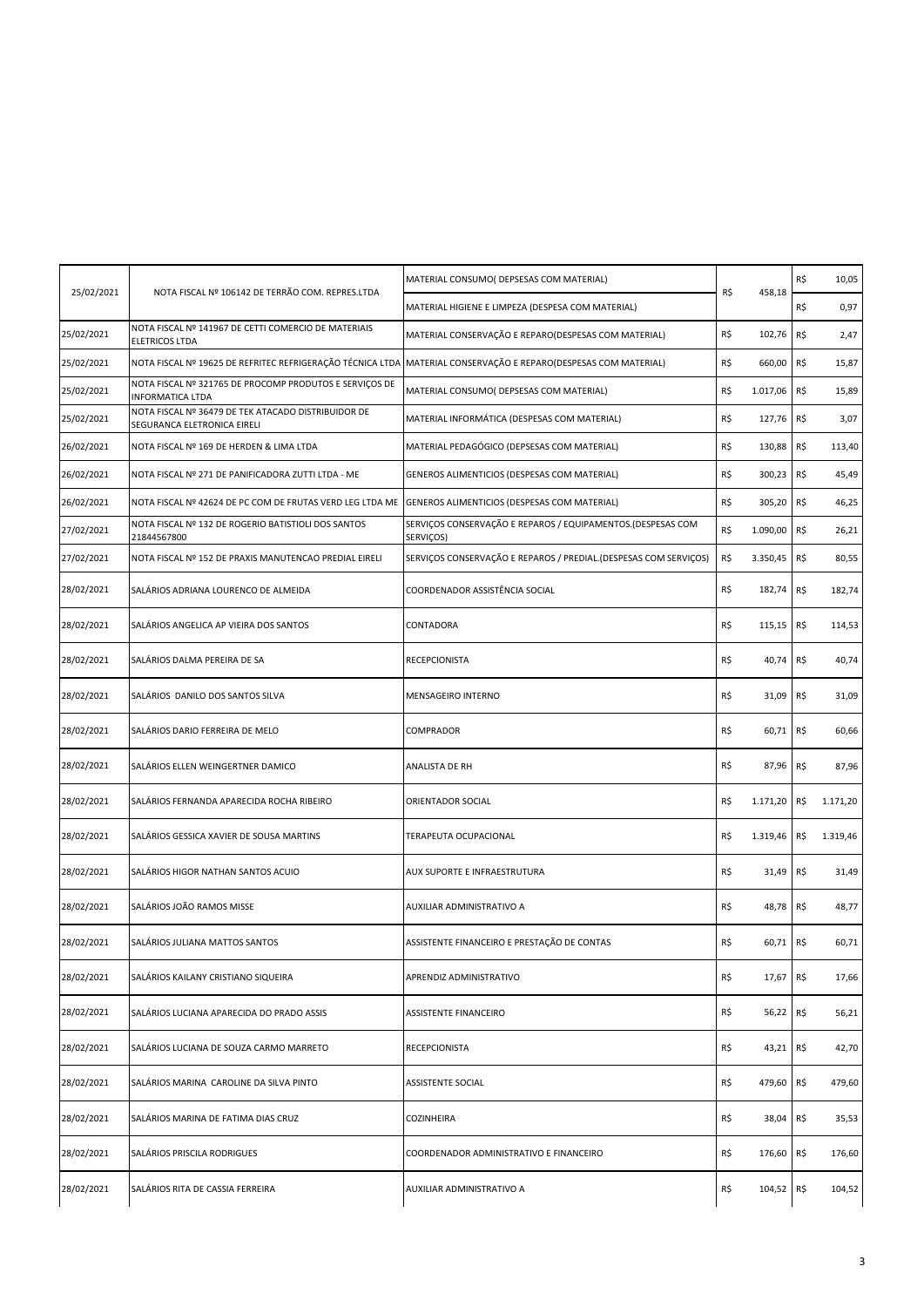| 25/02/2021 | NOTA FISCAL Nº 106142 DE TERRÃO COM. REPRES.LTDA                                                                | MATERIAL CONSUMO( DEPSESAS COM MATERIAL)                                 | R\$<br>458,18 | R\$      | 10,05 |          |
|------------|-----------------------------------------------------------------------------------------------------------------|--------------------------------------------------------------------------|---------------|----------|-------|----------|
|            |                                                                                                                 | MATERIAL HIGIENE E LIMPEZA (DESPESA COM MATERIAL)                        |               |          | R\$   | 0,97     |
| 25/02/2021 | NOTA FISCAL Nº 141967 DE CETTI COMERCIO DE MATERIAIS<br><b>ELETRICOS LTDA</b>                                   | MATERIAL CONSERVAÇÃO E REPARO(DESPESAS COM MATERIAL)                     | R\$           | 102,76   | R\$   | 2,47     |
| 25/02/2021 | NOTA FISCAL Nº 19625 DE REFRITEC REFRIGERAÇÃO TÉCNICA LTDA MATERIAL CONSERVAÇÃO E REPARO(DESPESAS COM MATERIAL) |                                                                          | R\$           | 660,00   | R\$   | 15,87    |
| 25/02/2021 | NOTA FISCAL Nº 321765 DE PROCOMP PRODUTOS E SERVIÇOS DE<br><b>INFORMATICA LTDA</b>                              | MATERIAL CONSUMO( DEPSESAS COM MATERIAL)                                 | R\$           | 1.017,06 | R\$   | 15,89    |
| 25/02/2021 | NOTA FISCAL Nº 36479 DE TEK ATACADO DISTRIBUIDOR DE<br>SEGURANCA ELETRONICA EIRELI                              | MATERIAL INFORMÁTICA (DESPESAS COM MATERIAL)                             | R\$           | 127,76   | R\$   | 3,07     |
| 26/02/2021 | NOTA FISCAL Nº 169 DE HERDEN & LIMA LTDA                                                                        | MATERIAL PEDAGÓGICO (DEPSESAS COM MATERIAL)                              | R\$           | 130,88   | R\$   | 113,40   |
| 26/02/2021 | NOTA FISCAL Nº 271 DE PANIFICADORA ZUTTI LTDA - ME                                                              | GENEROS ALIMENTICIOS (DESPESAS COM MATERIAL)                             | R\$           | 300,23   | R\$   | 45,49    |
| 26/02/2021 | NOTA FISCAL Nº 42624 DE PC COM DE FRUTAS VERD LEG LTDA ME                                                       | GENEROS ALIMENTICIOS (DESPESAS COM MATERIAL)                             | R\$           | 305,20   | R\$   | 46,25    |
| 27/02/2021 | NOTA FISCAL Nº 132 DE ROGERIO BATISTIOLI DOS SANTOS<br>21844567800                                              | SERVIÇOS CONSERVAÇÃO E REPAROS / EQUIPAMENTOS.(DESPESAS COM<br>SERVIÇOS) | R\$           | 1.090,00 | R\$   | 26,21    |
| 27/02/2021 | NOTA FISCAL Nº 152 DE PRAXIS MANUTENCAO PREDIAL EIRELI                                                          | SERVIÇOS CONSERVAÇÃO E REPAROS / PREDIAL.(DESPESAS COM SERVIÇOS)         | R\$           | 3.350,45 | R\$   | 80,55    |
| 28/02/2021 | SALÁRIOS ADRIANA LOURENCO DE ALMEIDA                                                                            | COORDENADOR ASSISTÊNCIA SOCIAL                                           | R\$           | 182,74   | R\$   | 182,74   |
| 28/02/2021 | SALÁRIOS ANGELICA AP VIEIRA DOS SANTOS                                                                          | CONTADORA                                                                | R\$           | 115,15   | R\$   | 114,53   |
| 28/02/2021 | SALÁRIOS DALMA PEREIRA DE SA                                                                                    | <b>RECEPCIONISTA</b>                                                     | R\$           | 40,74    | R\$   | 40,74    |
| 28/02/2021 | SALÁRIOS DANILO DOS SANTOS SILVA                                                                                | MENSAGEIRO INTERNO                                                       | R\$           | 31,09    | R\$   | 31,09    |
| 28/02/2021 | SALÁRIOS DARIO FERREIRA DE MELO                                                                                 | COMPRADOR                                                                | R\$           | 60,71    | R\$   | 60,66    |
| 28/02/2021 | SALÁRIOS ELLEN WEINGERTNER DAMICO                                                                               | ANALISTA DE RH                                                           | R\$           | 87,96    | R\$   | 87,96    |
| 28/02/2021 | SALÁRIOS FERNANDA APARECIDA ROCHA RIBEIRO                                                                       | ORIENTADOR SOCIAL                                                        | R\$           | 1.171,20 | R\$   | 1.171,20 |
| 28/02/2021 | SALÁRIOS GESSICA XAVIER DE SOUSA MARTINS                                                                        | TERAPEUTA OCUPACIONAL                                                    | R\$           | 1.319,46 | R\$   | 1.319,46 |
| 28/02/2021 | SALÁRIOS HIGOR NATHAN SANTOS ACUIO                                                                              | AUX SUPORTE E INFRAESTRUTURA                                             | R\$           | 31,49    | R\$   | 31,49    |
| 28/02/2021 | SALÁRIOS JOÃO RAMOS MISSE                                                                                       | AUXILIAR ADMINISTRATIVO A                                                | R\$           | 48,78    | R\$   | 48,77    |
| 28/02/2021 | SALÁRIOS JULIANA MATTOS SANTOS                                                                                  | ASSISTENTE FINANCEIRO E PRESTAÇÃO DE CONTAS                              | R\$           | 60,71    | R\$   | 60,71    |
| 28/02/2021 | SALÁRIOS KAILANY CRISTIANO SIQUEIRA                                                                             | APRENDIZ ADMINISTRATIVO                                                  | R\$           | 17,67    | R\$   | 17,66    |
| 28/02/2021 | SALÁRIOS LUCIANA APARECIDA DO PRADO ASSIS                                                                       | ASSISTENTE FINANCEIRO                                                    | R\$           | 56,22    | R\$   | 56,21    |
| 28/02/2021 | SALÁRIOS LUCIANA DE SOUZA CARMO MARRETO                                                                         | RECEPCIONISTA                                                            | R\$           | 43,21    | R\$   | 42,70    |
| 28/02/2021 | SALÁRIOS MARINA CAROLINE DA SILVA PINTO                                                                         | <b>ASSISTENTE SOCIAL</b>                                                 | R\$           | 479,60   | R\$   | 479,60   |
| 28/02/2021 | SALÁRIOS MARINA DE FATIMA DIAS CRUZ                                                                             | COZINHEIRA                                                               | R\$           | 38,04    | R\$   | 35,53    |
| 28/02/2021 | SALÁRIOS PRISCILA RODRIGUES                                                                                     | COORDENADOR ADMINISTRATIVO E FINANCEIRO                                  | R\$           | 176,60   | R\$   | 176,60   |
| 28/02/2021 | SALÁRIOS RITA DE CASSIA FERREIRA                                                                                | AUXILIAR ADMINISTRATIVO A                                                | R\$           | 104,52   | R\$   | 104,52   |